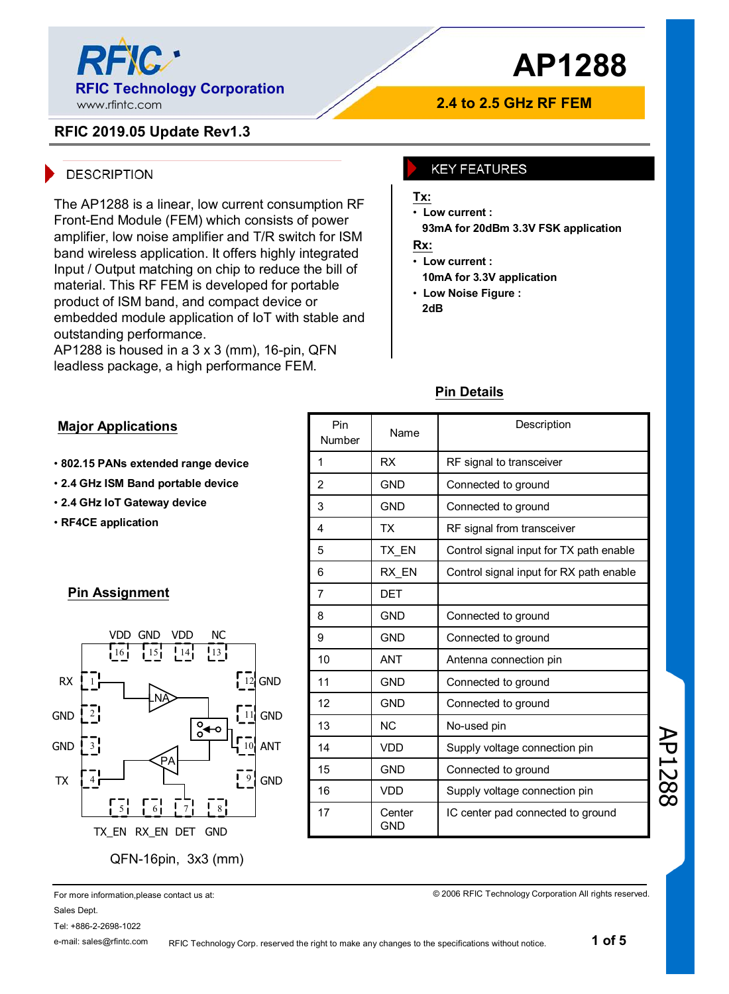

### **2.4 to 2.5 GHz RF FEM**

## **RFIC 2019.05 Update Rev1.3**

#### **DESCRIPTION**

The AP1288 is a linear, low current consumption RF Front-End Module (FEM) which consists of power amplifier, low noise amplifier and T/R switch for ISM band wireless application. It offers highly integrated Input / Output matching on chip to reduce the bill of material. This RF FEM is developed for portable product of ISM band, and compact device or embedded module application of IoT with stable and outstanding performance.

AP1288 is housed in a  $3 \times 3$  (mm), 16-pin, QFN leadless package, a high performance FEM.

#### **KEY FEATURES**

#### **Tx:**

• **Low current :**

**93mA for 20dBm 3.3V FSK application**

## **Rx:**

• **Low current :**

**10mA for 3.3V application**

• **Low Noise Figure : 2dB**

#### **Major Applications**

- **802.15 PANs extended range device**
- **2.4 GHz ISM Band portable device**
- **2.4 GHz IoT Gateway device**
- **RF4CE application**

#### **Pin Assignment**



| Pin<br>Number  | Name                 | Description                             |
|----------------|----------------------|-----------------------------------------|
| 1              | <b>RX</b>            | RF signal to transceiver                |
| $\overline{2}$ | <b>GND</b>           | Connected to ground                     |
| 3              | <b>GND</b>           | Connected to ground                     |
| 4              | ТX                   | RF signal from transceiver              |
| 5              | TX EN                | Control signal input for TX path enable |
| 6              | RX EN                | Control signal input for RX path enable |
| $\overline{7}$ | DET                  |                                         |
| 8              | <b>GND</b>           | Connected to ground                     |
| 9              | <b>GND</b>           | Connected to ground                     |
| 10             | <b>ANT</b>           | Antenna connection pin                  |
| 11             | <b>GND</b>           | Connected to ground                     |
| 12             | <b>GND</b>           | Connected to ground                     |
| 13             | NC.                  | No-used pin                             |
| 14             | <b>VDD</b>           | Supply voltage connection pin           |
| 15             | <b>GND</b>           | Connected to ground                     |
| 16             | <b>VDD</b>           | Supply voltage connection pin           |
| 17             | Center<br><b>GND</b> | IC center pad connected to ground       |

## **Pin Details**

AP1288

For more information,please contact us at: Sales Dept. Tel: +886-2-2698-1022

e-mail: sales@rfintc.com

© 2006 RFIC Technology Corporation All rights reserved.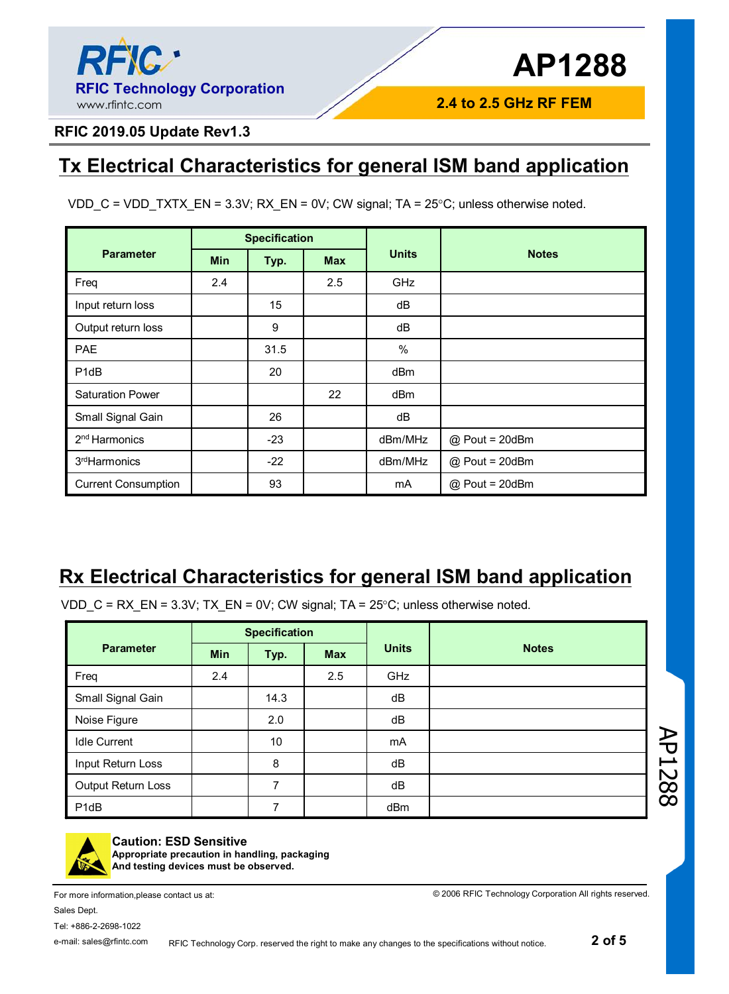

**2.4 to 2.5 GHz RF FEM**

## **RFIC 2019.05 Update Rev1.3**

## **Tx Electrical Characteristics for general ISM band application**

|  |  |  | VDD_C = VDD_TXTX_EN = 3.3V; RX_EN = 0V; CW signal; TA = $25^{\circ}$ C; unless otherwise noted. |
|--|--|--|-------------------------------------------------------------------------------------------------|
|  |  |  |                                                                                                 |

|                               | <b>Specification</b> |       |            |                 |                  |  |  |
|-------------------------------|----------------------|-------|------------|-----------------|------------------|--|--|
| <b>Parameter</b>              | <b>Min</b>           | Typ.  | <b>Max</b> | <b>Units</b>    | <b>Notes</b>     |  |  |
| Freq                          | 2.4                  |       | 2.5        | <b>GHz</b>      |                  |  |  |
| Input return loss             |                      | 15    |            | dB              |                  |  |  |
| Output return loss            |                      | 9     |            | dB              |                  |  |  |
| PAE                           |                      | 31.5  |            | %               |                  |  |  |
| P <sub>1</sub> d <sub>B</sub> |                      | 20    |            | dB <sub>m</sub> |                  |  |  |
| <b>Saturation Power</b>       |                      |       | 22         | dB <sub>m</sub> |                  |  |  |
| Small Signal Gain             |                      | 26    |            | dB              |                  |  |  |
| 2 <sup>nd</sup> Harmonics     |                      | $-23$ |            | dBm/MHz         | @ Pout = 20dBm   |  |  |
| 3 <sup>rd</sup> Harmonics     |                      | $-22$ |            | dBm/MHz         | @ Pout = 20dBm   |  |  |
| <b>Current Consumption</b>    |                      | 93    |            | mA              | $@$ Pout = 20dBm |  |  |

## **Rx Electrical Characteristics for general ISM band application**

VDD\_C = RX\_EN = 3.3V; TX\_EN = 0V; CW signal; TA =  $25^{\circ}$ C; unless otherwise noted.

|                     | <b>Specification</b> |      |            |              |              |  |  |
|---------------------|----------------------|------|------------|--------------|--------------|--|--|
| <b>Parameter</b>    | <b>Min</b>           | Typ. | <b>Max</b> | <b>Units</b> | <b>Notes</b> |  |  |
| Freq                | 2.4                  |      | 2.5        | GHz          |              |  |  |
| Small Signal Gain   |                      | 14.3 |            | dB           |              |  |  |
| Noise Figure        |                      | 2.0  |            | dB           |              |  |  |
| <b>Idle Current</b> |                      | 10   |            | mA           |              |  |  |
| Input Return Loss   |                      | 8    |            | dB           |              |  |  |
| Output Return Loss  |                      | 7    |            | dB           |              |  |  |
| P <sub>1</sub> dB   |                      | 7    |            | dBm          |              |  |  |





#### **Caution: ESD Sensitive**

**Appropriate precaution in handling, packaging And testing devices must be observed.**

For more information,please contact us at: Sales Dept. Tel: +886-2-2698-1022

© 2006 RFIC Technology Corporation All rights reserved.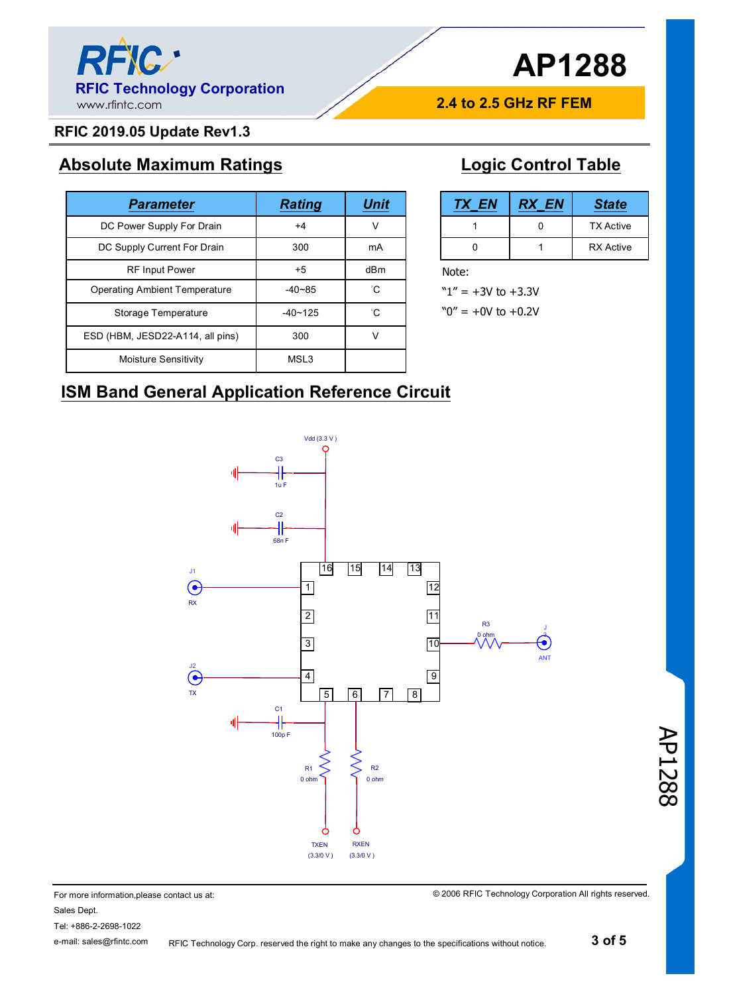

## **RFIC 2019.05 Update Rev1.3**

## **Absolute Maximum Ratings**

| <b>Parameter</b>                     | <b>Rating</b> | <b>Unit</b>     |
|--------------------------------------|---------------|-----------------|
| DC Power Supply For Drain            | $+4$          | v               |
| DC Supply Current For Drain          | 300           | mA              |
| <b>RF Input Power</b>                | $+5$          | d <sub>Bm</sub> |
| <b>Operating Ambient Temperature</b> | $-40 - 85$    | $^{\circ}$ C    |
| Storage Temperature                  | $-40 - 125$   | $^{\circ}$ C    |
| ESD (HBM, JESD22-A114, all pins)     | 300           | v               |
| Moisture Sensitivity                 | MSL3          |                 |

## **Logic Control Table**

**2.4 to 2.5 GHz RF FEM**

| <b>TX EN</b> | <b>RX EN</b> | <b>State</b>     |  |
|--------------|--------------|------------------|--|
|              |              | <b>TX Active</b> |  |
|              |              | <b>RX</b> Active |  |

Note:

 $"1" = +3V$  to  $+3.3V$ 

 $"0" = +0V$  to  $+0.2V$ 

## **ISM Band General Application Reference Circuit**



For more information,please contact us at: Sales Dept.

Tel: +886-2-2698-1022 e-mail: sales@rfintc.com © 2006 RFIC Technology Corporation All rights reserved.

AP1288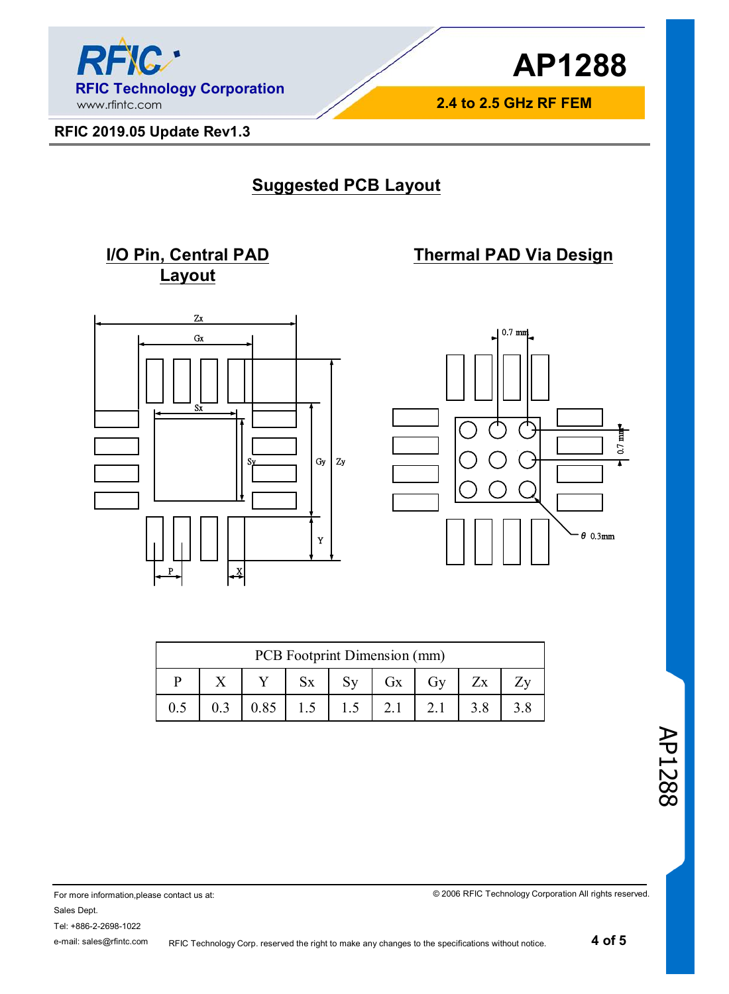

**2.4 to 2.5 GHz RF FEM**

**Thermal PAD Via Design**

**RFIC 2019.05 Update Rev1.3**

## **Suggested PCB Layout**

## **I/O Pin, Central PAD Layout**





| PCB Footprint Dimension (mm) |  |      |  |  |     |     |     |  |
|------------------------------|--|------|--|--|-----|-----|-----|--|
| Gx<br>Gv<br>Zx               |  |      |  |  |     |     |     |  |
|                              |  | 0.85 |  |  | 2.1 | 2.1 | 3.8 |  |

AP1288

For more information,please contact us at: Sales Dept. Tel: +886-2-2698-1022 e-mail: sales@rfintc.com

© 2006 RFIC Technology Corporation All rights reserved.